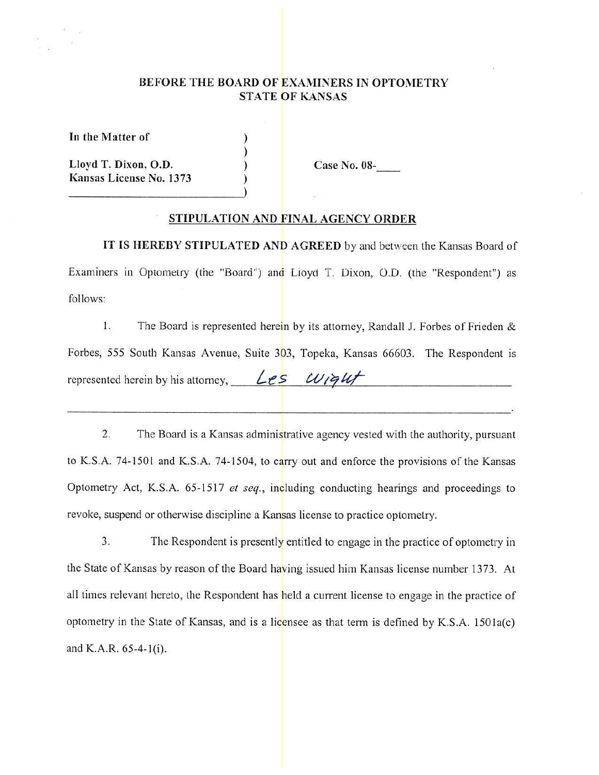# BEFORE THE BOARD OF EXAMINERS IN OPTOMETRY **STATE OF KANSAS**

) ) ) )

In the Matter of

Lloyd T. Dixon, O.D. Kansas License No. 1373 Case No. 08-

### **STIPULATION AND FINAL AGENCY ORDER**

**IT IS HEREBY STIPULATED AND AGREED** by and between the Kansas Board of Examiners in Optometry (the "Board") and Lioyd T. Dixon, O.D. (the "Respondent") as follows:

1. The Board is represented herein by its attorney, Randall J. Forbes of Frieden & Forbes, 555 South Kansas Avenue, Suite 303, Topeka, Kansas 66603. The Respondent is represented herein by his attorney, *Les*  $w_i$ *qut* 

2. The Board is a Kansas administrative agency vested with the authority, pursuant to K.S.A. 74-1501 and K.S.A. 74-1504, to carry out and enforce the provisions of the Kansas Optometry Act, K.S.A. 65-1517 *et seq.,* including conducting hearings and proceedings to revoke, suspend or otherwise discipline a Kansas license to practice optometry.

3. The Respondent is presently entitled to engage in the practice of optometry in the State of Kansas by reason of the Board having issued him Kansas license number 1373. At all times relevant hereto, the Respondent has held a current license to engage in the practice of optometry in the State of Kansas, and is a licensee as that term is defined by K.S.A. 1501a(c) and K.A.R.  $65-4-1(i)$ .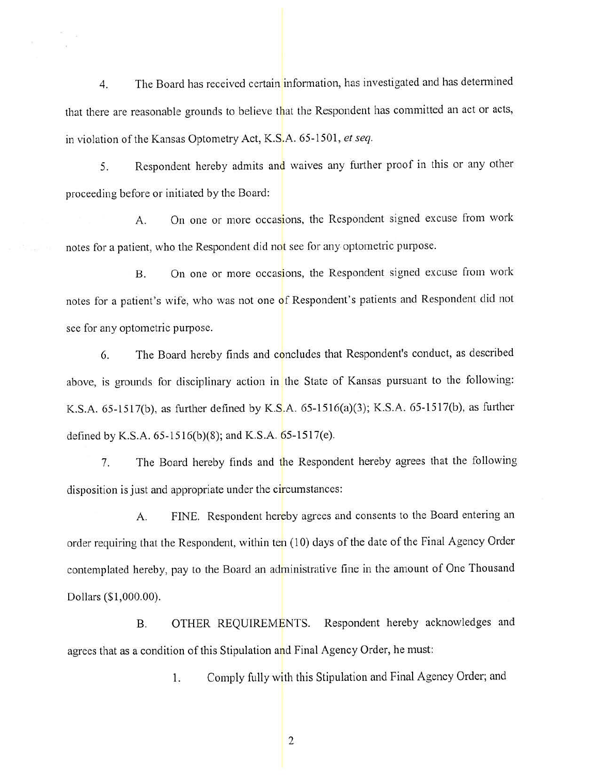4. The Board has received certain information, has investigated and has determined that there are reasonable grounds to believe that the Respondent has committed an act or acts, in violation of the Kansas Optometry Act, K.S.A. 65-1501, *et seq.* 

5. Respondent hereby admits and waives any further proof in this or any other proceeding before or initiated by the Board:

A. On one or more occasions, the Respondent signed excuse from work notes for a patient, who the Respondent did not see for any optometric purpose.

B. On one or more occasions, the Respondent signed excuse from work notes for a patient's wife, who was not one of Respondent's patients and Respondent did not see for any optometric purpose.

6. The Board hereby finds and concludes that Respondent's conduct, as described above, is grounds for disciplinary action in the State of Kansas pursuant to the following: K.S.A. 65-1517(b), as further defined by K.S.A. 65-1516(a)(3); K.S.A. 65-1517(b), as further defined by K.S.A.  $65-1516(b)(8)$ ; and K.S.A.  $65-1517(e)$ .

7. The Board hereby finds and the Respondent hereby agrees that the following disposition is just and appropriate under the circumstances:

A. FINE. Respondent hereby agrees and consents to the Board entering an order requiring that the Respondent, within ten (10) days of the date of the Final Agency Order contemplated hereby, pay to the Board an administrative fine in the amount of One Thousand Dollars (\$1,000.00).

B. OTHER REQUIREMENTS. Respondent hereby acknowledges and agrees that as a condition of this Stipulation and Final Agency Order, he must:

1. Comply fully with this Stipulation and Final Agency Order; and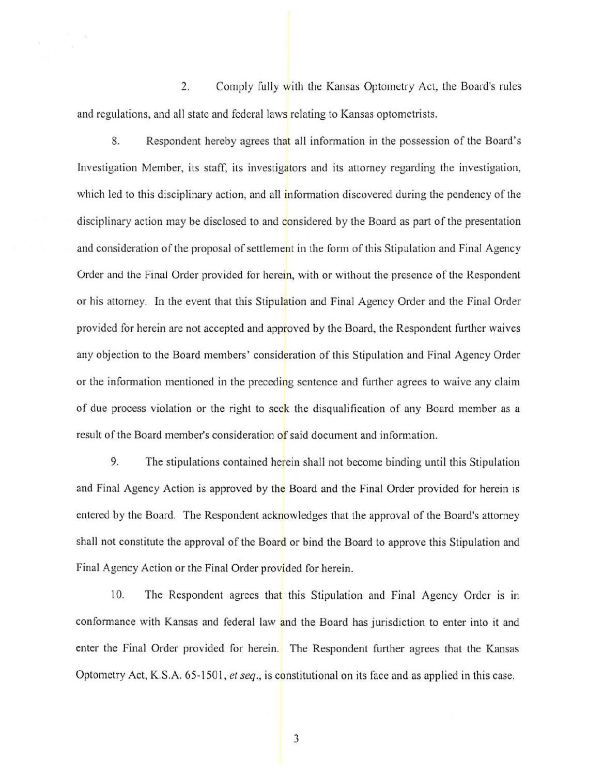2. Comply fully with the Kansas Optometry Act, the Board's rules and regulations, and all state and federal laws relating to Kansas optometrists.

8. Respondent hereby agrees that all information in the possession of the Board's Investigation Member, its staff, its investigators and its attorney regarding the investigation, which led to this disciplinary action, and all information discovered during the pendency of the disciplinary action may be disclosed to and considered by the Board as part of the presentation and consideration of the proposal of settlement in the form of this Stipulation and Final Agency Order and the Final Order provided for herein, with or without the presence of the Respondent or his attorney. In the event that this Stipulation and Final Agency Order and the Final Order provided for herein are not accepted and approved by the Board, the Respondent further waives any objection to the Board members' consideration of this Stipulation and Final Agency Order or the information mentioned in the preceding sentence and further agrees to waive any claim of due process violation or the right to seek the disqualification of any Board member as a result of the Board member's consideration of said document and information.

9. The stipulations contained herein shall not become binding until this Stipulation and Final Agency Action is approved by the Board and the Final Order provided for herein is entered by the Board. The Respondent acknowledges that the approval of the Board's attorney shall not constitute the approval of the Board or bind the Board to approve this Stipulation and Final Agency Action or the Final Order provided for herein.

10. The Respondent agrees that this Stipulation and Final Agency Order is in conformance with Kansas and federal law and the Board has jurisdiction to enter into it and enter the Final Order provided for herein. The Respondent further agrees that the Kansas Optometry Act, K.S.A. 65-1501, *et seq.*, is constitutional on its face and as applied in this case.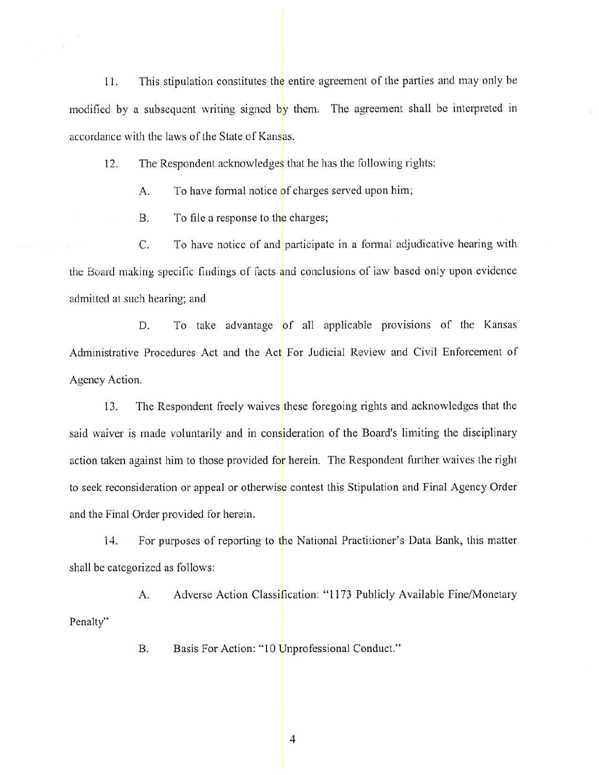11. This stipulation constitutes the entire agreement of the parties and may only be modified by a subsequent writing signed by them. The agreement shall be interpreted in accordance with the laws of the State of Kansas.

12. The Respondent acknowledges that he has the following rights:

A. To have formal notice of charges served upon him;

B. To file a response to the charges;

C. To have notice of and participate in a formal adjudicative hearing with the Board making specific findings of facts and conclusions of law based only upon evidence admitted at such hearing; and

D. To take advantage of all applicable provisions of the Kansas Administrative Procedures Act and the Act For Judicial Review and Civil Enforcement of Agency Action.

13. The Respondent freely waives these foregoing rights and acknowledges that the said waiver is made voluntarily and in consideration of the Board's limiting the disciplinary action taken against him to those provided for herein. The Respondent further waives the right to seek reconsideration or appeal or otherwise contest this Stipulation and Final Agency Order and the Final Order provided for herein.

14. For purposes of reporting to the National Practitioner's Data Bank, this matter shall be categorized as follows:

A. Adverse Action Classification: "1173 Publicly Available Fine/Monetary Penalty"

B. Basis For Action: "10 Unprofessional Conduct."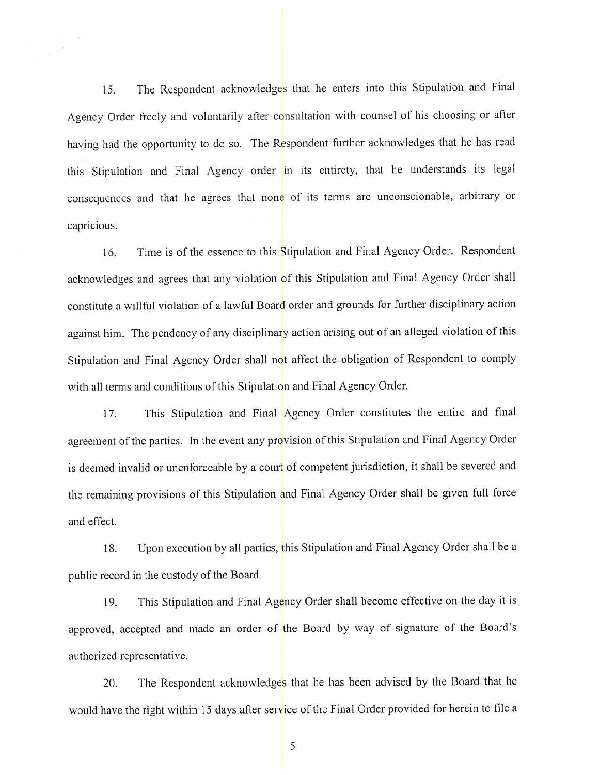15. The Respondent acknowledges that he enters into this Stipulation and Final Agency Order freely and voluntarily after consultation with counsel of his choosing or after having had the opportunity to do so. The Respondent further acknowledges that he has read this Stipulation and Final Agency order in its entirety, that he understands its legal consequences and that he agrees that none of its terms are unconscionable, arbitrary or capricious.

16. Time is of the essence to this Stipulation and Final Agency Order. Respondent acknowledges and agrees that any violation of this Stipulation and Final Agency Order shall constitute a willful violation of a lawful Board order and grounds for further disciplinary action against him. The pendency of any disciplinary action arising out of an alleged violation of this Stipulation and Final Agency Order shall not affect the obligation of Respondent to comply with all terms and conditions of this Stipulation and Final Agency Order.

17. This Stipulation and Final Agency Order constitutes the entire and final agreement of the parties. In the event any provision of this Stipulation and Final Agency Order is deemed invalid or unenforceable by a court of competent jurisdiction, it shall be severed and the remaining provisions of this Stipulation and Final Agency Order shall be given full force and effect.

18. Upon execution by all parties, this Stipulation and Final Agency Order shall be a public record in the custody of the Board.

19. This Stipulation and Final Agency Order shall become effective on the day it is approved, accepted and made an order of the Board by way of signature of the Board's authorized representative.

20. The Respondent acknowledges that he has been advised by the Board that he would have the right within 15 days after service of the Final Order provided for herein to file a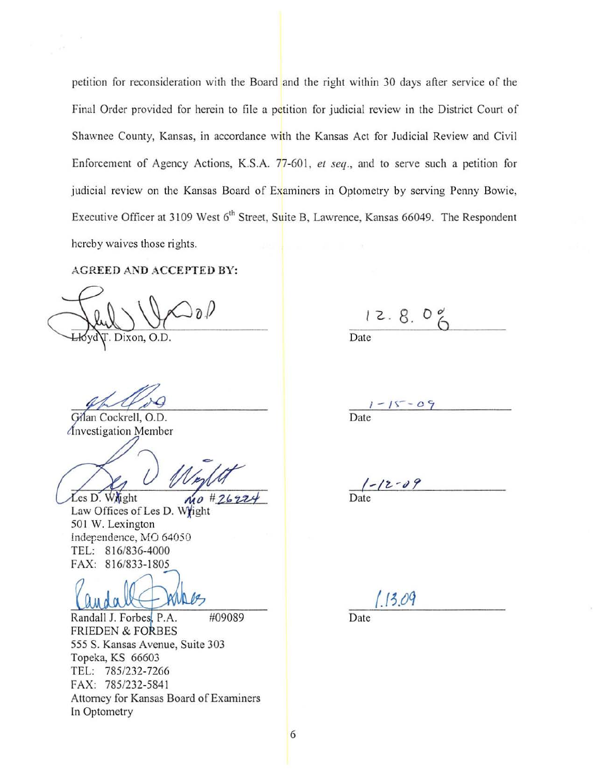petition for reconsideration with the Board and the right within 30 days after service of the Final Order provided for herein to file a petition for judicial review in the District Court of Shawnee County, Kansas, in accordance with the Kansas Act for Judicial Review and Civil Enforcement of Agency Actions, KS.A. 77-601, *et seq.,* and to serve such a petition for judicial review on the Kansas Board of Examiners in Optometry by serving Penny Bowie, Executive Officer at 3109 West 6<sup>th</sup> Street, Suite B, Lawrence, Kansas 66049. The Respondent hereby waives those rights.

### AGREED AND ACCEPTED BY:

)  $_{\partial}$   $/$ Dixon, O.D.

Gilan Cockrell, O.D. nvestigation Member

Les D. Whight  $\mu_0$  # 26229

Law Offices of Les D. Wright 501 W. Lexington Independence, MO 64050 TEL: 816/836-4000 FAX: 816/833-1805

Randall J. Forbes, P.A. FRIEDEN & FORBES #09089 555 S. Kansas Avenue, Suite 303 Topeka, KS 66603 TEL: 785/232-7266 FAX: 785/232-5841 Attorney for Kansas Board of Examiners In Optometry

 $12.8.0%$ Date

 $1 - 15 - 09$ Date

 $\frac{1 - 12 - 09}{\text{Date}}$ 

 $13.09$ 

Date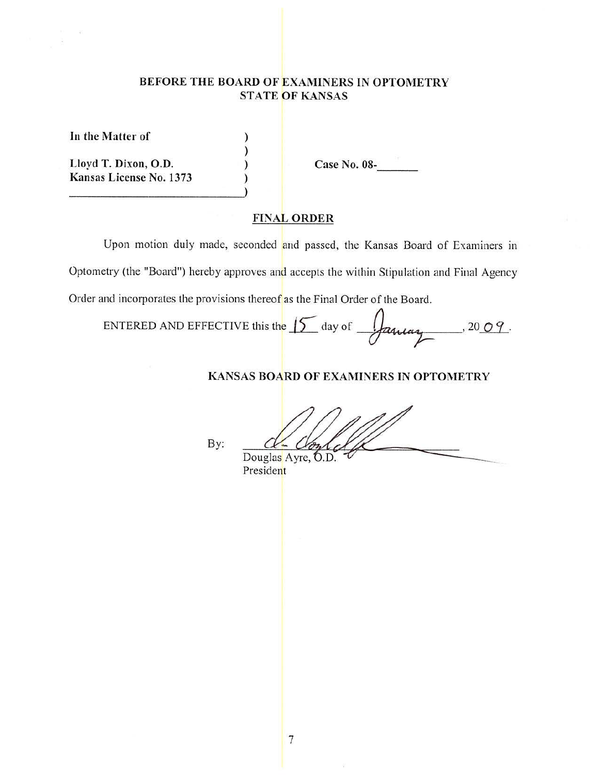# **BEFORE THE BOARD OF EXAMINERS IN OPTOMETRY STATE OF KANSAS**

) ) ) )

**In the Matter of** 

**Lloyd T. Dixon, O.D. Kansas License No. 1373**  Case No. 08-

## **FINAL ORDER**

Upon motion duly made, seconded and passed, the Kansas Board of Examiners in Optometry (the "Board") hereby approves and accepts the within Stipulation and Final Agency Order and incorporates the provisions thereof as the Final Order of the Board.

ENTERED AND EFFECTIVE this the  $\sqrt{\frac{2\alpha u u v}{c}}$  $^{1,20}$  $^{0.9}$ .

### **KANSAS BOARD OF EXAMINERS IN OPTOMETRY**

By:

Douglas Ayre, O.D.

President